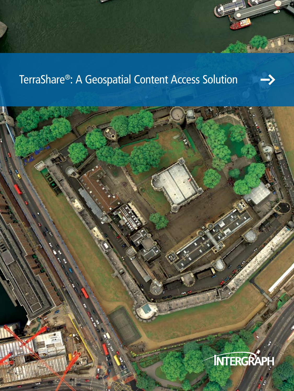# TerraShare®: A Geospatial Content Access Solution

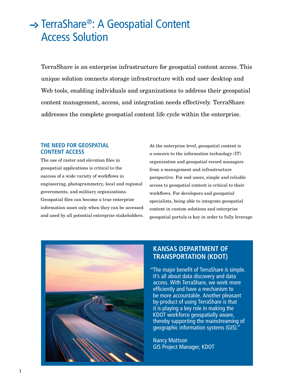# → TerraShare®: A Geospatial Content Access Solution

TerraShare is an enterprise infrastructure for geospatial content access. This unique solution connects storage infrastructure with end user desktop and Web tools, enabling individuals and organizations to address their geospatial content management, access, and integration needs effectively. TerraShare addresses the complete geospatial content life cycle within the enterprise.

# **The need for geospatial Content Access**

The use of raster and elevation files in geospatial applications is critical to the success of a wide variety of workflows in engineering, photogrammetry, local and regional governments, and military organizations. Geospatial files can become a true enterprise information asset only when they can be accessed and used by all potential enterprise stakeholders. At the enterprise level, geospatial content is a concern to the information technology (IT) organization and geospatial record managers from a management and infrastructure perspective. For end users, simple and reliable access to geospatial content is critical to their workflows. For developers and geospatial specialists, being able to integrate geospatial content in custom solutions and enterprise geospatial portals is key in order to fully leverage



# **Kansas Department of Transportation (KDOT)**

"The major benefit of TerraShare is simple. It's all about data discovery and data access. With TerraShare, we work more efficiently and have a mechanism to be more accountable. Another pleasant by-product of using TerraShare is that it is playing a key role in making the KDOT workforce geospatially aware, thereby supporting the mainstreaming of geographic information systems (GIS)."

Nancy Mattson GIS Project Manager, KDOT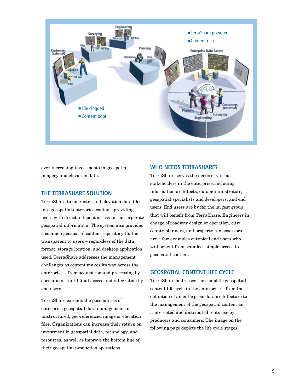

ever-increasing investments in geospatial imagery and elevation data.

#### **The TerraShare solution**

TerraShare turns raster and elevation data files into geospatial enterprise content, providing users with direct, efficient access to the corporate geospatial information. The system also provides a common geospatial content repository that is transparent to users – regardless of the data format, storage location, and desktop application used. TerraShare addresses the management challenges as content makes its way across the enterprise – from acquisition and processing by specialists – until final access and integration by end users.

TerraShare extends the possibilities of enterprise geospatial data management to unstructured, geo-referenced image or elevation files. Organizations can increase their return on investment in geospatial data, technology, and resources, as well as improve the bottom line of their geospatial production operations.

#### **Who needs TerraShare?**

TerraShare serves the needs of various stakeholders in the enterprise, including information architects, data administrators, geospatial specialists and developers, and end users. End users are by far the largest group that will benefit from TerraShare. Engineers in charge of roadway design or operation, city/ county planners, and property tax assessors are a few examples of typical end users who will benefit from seamless simple access to geospatial content.

# **Geospatial content life cycle**

TerraShare addresses the complete geospatial content life cycle in the enterprise – from the definition of an enterprise data architecture to the management of the geospatial content as it is created and distributed to its use by producers and consumers. The image on the following page depicts the life cycle stages.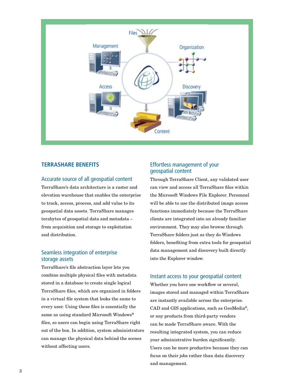

# **TerraShare benefits**

# Accurate source of all geospatial content

TerraShare's data architecture is a raster and elevation warehouse that enables the enterprise to track, access, process, and add value to its geospatial data assets. TerraShare manages terabytes of geospatial data and metadata – from acquisition and storage to exploitation and distribution.

# Seamless integration of enterprise storage assets

TerraShare's file abstraction layer lets you combine multiple physical files with metadata stored in a database to create single logical TerraShare files, which are organized in folders in a virtual file system that looks the same to every user. Using these files is essentially the same as using standard Microsoft Windows® files, so users can begin using TerraShare right out of the box. In addition, system administrators can manage the physical data behind the scenes without affecting users.

# Effortless management of your geospatial content

Through TerraShare Client, any validated user can view and access all TerraShare files within the Microsoft Windows File Explorer. Personnel will be able to use the distributed image access functions immediately because the TerraShare clients are integrated into an already familiar environment. They may also browse through TerraShare folders just as they do Windows folders, benefiting from extra tools for geospatial data management and discovery built directly into the Explorer window.

#### Instant access to your geospatial content

Whether you have one workflow or several, images stored and managed within TerraShare are instantly available across the enterprise. CAD and GIS applications, such as GeoMedia®, or any products from third-party vendors can be made TerraShare aware. With the resulting integrated system, you can reduce your administrative burden significantly. Users can be more productive because they can focus on their jobs rather than data discovery and management.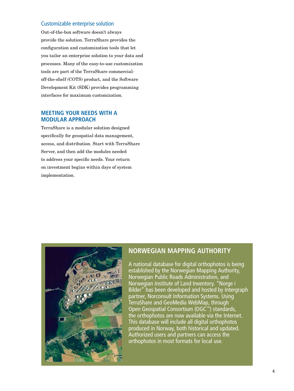#### Customizable enterprise solution

Out-of-the-box software doesn't always provide the solution. TerraShare provides the configuration and customization tools that let you tailor an enterprise solution to your data and processes. Many of the easy-to-use customization tools are part of the TerraShare commercialoff-the-shelf (COTS) product, and the Software Development Kit (SDK) provides programming interfaces for maximum customization.

#### **Meeting your needs with a modular approach**

TerraShare is a modular solution designed specifically for geospatial data management, access, and distribution. Start with TerraShare Server, and then add the modules needed to address your specific needs. Your return on investment begins within days of system implementation.



# **Norwegian Mapping Authority**

A national database for digital orthophotos is being established by the Norwegian Mapping Authority, Norwegian Public Roads Administration, and Norwegian Institute of Land Inventory. "Norge i Bilder" has been developed and hosted by Intergraph partner, Norconsult Information Systems. Using TerraShare and GeoMedia WebMap, through Open Geospatial Consortium (OGC™) standards, the orthophotos are now available via the Internet. This database will include all digital orthophotos produced in Norway, both historical and updated. Authorized users and partners can access the orthophotos in most formats for local use.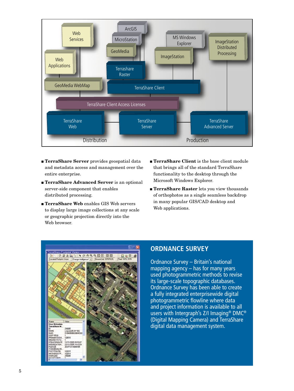

- **n TerraShare Server** provides geospatial data and metadata access and management over the entire enterprise.
- **n TerraShare Advanced Server** is an optional server-side component that enables distributed processing.
- <sup>n</sup> TerraShare Web enables GIS Web servers to display large image collections at any scale or geographic projection directly into the Web browser.
- **n** TerraShare Client is the base client module that brings all of the standard TerraShare functionality to the desktop through the Microsoft Windows Explorer.
- **TerraShare Raster** lets you view thousands of orthophotos as a single seamless backdrop in many popular GIS/CAD desktop and Web applications.



# **ordnance survey**

Ordnance Survey – Britain's national mapping agency  $-$  has for many years used photogrammetric methods to revise its large-scale topographic databases. Ordnance Survey has been able to create a fully integrated enterprisewide digital photogrammetric flowline where data and project information is available to all users with Intergraph's Z/I Imaging® DMC® (Digital Mapping Camera) and TerraShare digital data management system.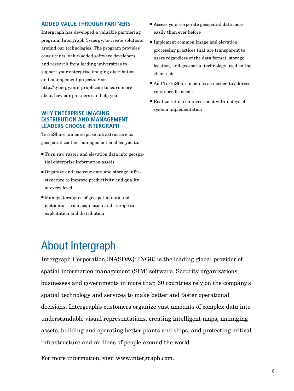#### **Added value through partners**

Intergraph has developed a valuable partnering program, Intergraph Synergy, to create solutions around our technologies. The program provides consultants, value-added software developers, and research from leading universities to support your enterprise imaging distribution and management projects. Visit http://synergy.intergraph.com to learn more about how our partners can help you.

# **Why enterprise imaging distribution and management leaders choose Intergraph**

TerraShare, an enterprise infrastructure for geospatial content management enables you to:

- $\blacksquare$  Turn raw raster and elevation data into geospatial enterprise information assets
- Organize and use your data and storage infrastructure to improve productivity and quality at every level
- $\blacksquare$  Manage terabytes of geospatial data and metadata – from acquisition and storage to exploitation and distribution
- About Intergraph
- $\blacksquare$  Access your corporate geospatial data more easily than ever before
- Implement common image and elevation processing practices that are transparent to users regardless of the data format, storage location, and geospatial technology used on the client side
- Add TerraShare modules as needed to address your specific needs
- $\blacksquare$  Realize return on investment within days of system implementation

Intergraph Corporation (NASDAQ: INGR) is the leading global provider of spatial information management (SIM) software. Security organizations, businesses and governments in more than 60 countries rely on the company's spatial technology and services to make better and faster operational decisions. Intergraph's customers organize vast amounts of complex data into understandable visual representations, creating intelligent maps, managing assets, building and operating better plants and ships, and protecting critical infrastructure and millions of people around the world.

For more information, visit www.intergraph.com.